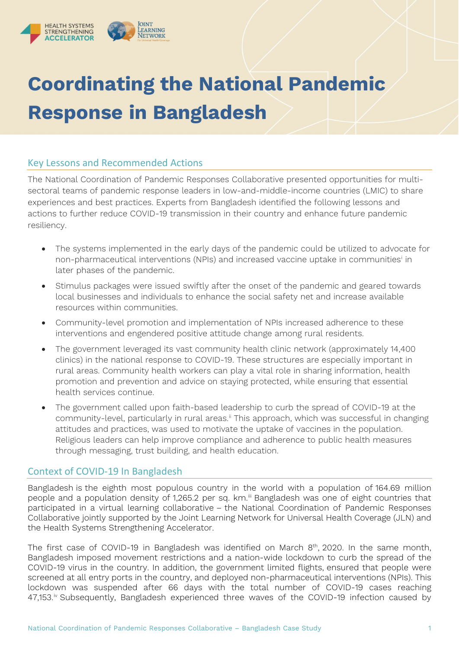

# **Coordinating the National Pandemic Response in Bangladesh**

## Key Lessons and Recommended Actions

The National Coordination of Pandemic Responses Collaborative presented opportunities for multisectoral teams of pandemic response leaders in low-and-middle-income countries (LMIC) to share experiences and best practices. Experts from Bangladesh identified the following lessons and actions to further reduce COVID-19 transmission in their country and enhance future pandemic resiliency.

- The systems implemented in the early days of the pandemic could be utilized to advocate for non-pharmaceutical interventions (NPIs) and increased vaccine uptake in communities[i](#page-4-0) in later phases of the pandemic.
- Stimulus packages were issued swiftly after the onset of the pandemic and geared towards local businesses and individuals to enhance the social safety net and increase available resources within communities.
- Community-level promotion and implementation of NPIs increased adherence to these interventions and engendered positive attitude change among rural residents.
- The government leveraged its vast community health clinic network (approximately 14,400 clinics) in the national response to COVID-19. These structures are especially important in rural areas. Community health workers can play a vital role in sharing information, health promotion and prevention and advice on staying protected, while ensuring that essential health services continue.
- The government called upon faith-based leadership to curb the spread of COVID-19 at the community-level, particularly in rural areas." This approach, which was successful in changing attitudes and practices, was used to motivate the uptake of vaccines in the population. Religious leaders can help improve compliance and adherence to public health measures through messaging, trust building, and health education.

## Context of COVID-19 In Bangladesh

Bangladesh is the eighth most populous country in the world with a population of 164.69 million people and a population density of 1,265.2 per sq. km. [iii](#page-4-2) Bangladesh was one of eight countries that participated in a virtual learning collaborative – the National Coordination of Pandemic Responses Collaborative jointly supported by the Joint Learning Network for Universal Health Coverage (JLN) and the Health Systems Strengthening Accelerator.

The first case of COVID-19 in Bangladesh was identified on March 8<sup>th</sup>, 2020. In the same month, Bangladesh imposed movement restrictions and a nation-wide lockdown to curb the spread of the COVID-19 virus in the country. In addition, the government limited flights, ensured that people were screened at all entry ports in the country, and deployed non-pharmaceutical interventions (NPIs). This lockdown was suspended after 66 days with the total number of COVID-19 cases reaching  $47,153.^{\circ}$  Subsequently, Bangladesh experienced three waves of the COVID-19 infection caused by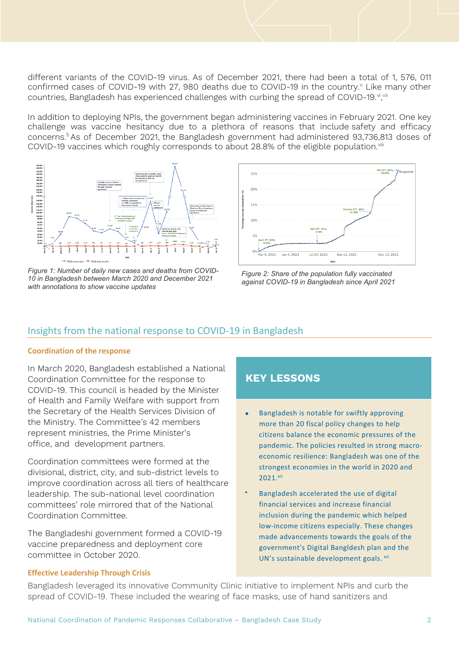different variants of the COVID-19 virus. As of December 2021, there had been a total of 1, 576, 011 confirmed cases of COVID-19 with 27, 980 deaths due to COVID-19 in the country.<sup>[v](#page-4-4)</sup> Like many other countries, Bangladesh has experienced challenges with curbing the spread of COVID-19.<sup>vi</sup>,'<sup>ii</sup>

In addition to deploying NPIs, the government began administering vaccines in February 2021. One key challenge was vaccine hesitancy due to a plethora of reasons that include safety and efficacy concerns.5 As of December 2021, the Bangladesh government had administered 93,736,813 doses of COVID-19 vaccines which roughly corresponds to about 28.8% of the eligible population.<sup>[viii](#page-4-7)</sup>



*Figure 1: Number of daily new cases and deaths from COVID-10 in Bangladesh between March 2020 and December 2021 with annotations to show vaccine updates*



*Figure 2: Share of the population fully vaccinated against COVID-19 in Bangladesh since April 2021*

## Insights from the national response to COVID-19 in Bangladesh

#### **Coordination of the response**

In March 2020, Bangladesh established a National Coordination Committee for the response to COVID-19. This council is headed by the Minister of Health and Family Welfare with support from the Secretary of the Health Services Division of the Ministry. The Committee's 42 members represent ministries, the Prime Minister's office, and development partners.

Coordination committees were formed at the divisional, district, city, and sub-district levels to improve coordination across all tiers of healthcare leadership. The sub-national level coordination committees' role mirrored that of the National Coordination Committee.

The Bangladeshi government formed a COVID-19 vaccine preparedness and deployment core committee in October 2020.

## **KEY LESSONS**

- Bangladesh is notable for swiftly approving more than 20 fiscal policy changes to help citizens balance the economic pressures of the pandemic. The policies resulted in strong macroeconomic resilience: Bangladesh was one of the strongest economies in the world in 2020 and 2021.xii
- Bangladesh accelerated the use of digital financial services and increase financial inclusion during the pandemic which helped low-income citizens especially. These changes made advancements towards the goals of the government's Digital Bangldesh plan and the UN's sustainable development goals. xii

#### **Effective Leadership Through Crisis**

Bangladesh leveraged its innovative Community Clinic initiative to implement NPIs and curb the spread of COVID-19. These included the wearing of face masks, use of hand sanitizers and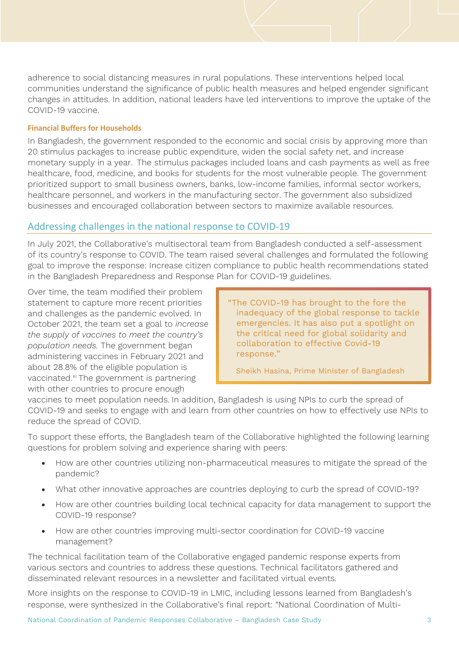adherence to social distancing measures in rural populations. These interventions helped local communities understand the significance of public health measures and helped engender significant changes in attitudes. In addition, national leaders have led interventions to improve the uptake of the COVID-19 vaccine.

#### **Financial Buffers for Households**

In Bangladesh, the government responded to the economic and social crisis by approving more than 20 stimulus packages to increase public expenditure, widen the social safety net, and increase monetary supply in a year. The stimulus packages included loans and cash payments as well as free healthcare, food, medicine, and books for students for the most vulnerable people. The government prioritized support to small business owners, banks, low-income families, informal sector workers, healthcare personnel, and workers in the manufacturing sector. The government also subsidized businesses and encouraged collaboration between sectors to ma[x](#page-4-9)imize available resources.

## Addressing challenges in the national response to COVID-19

In July 2021, the Collaborative's multisectoral team from Bangladesh conducted a self-assessment of its country's response to COVID. The team raised several challenges and formulated the following goal to improve the response: Increase citizen compliance to public health recommendations stated in the Bangladesh Preparedness and Response Plan for COVID-19 guidelines.

Over time, the team modified their problem statement to capture more recent priorities and challenges as the pandemic evolved. In October 2021, the team set a goal to *increase the supply of vaccines to meet the country's population needs.* The government began administering vaccines in February 2021 and about 28.8% of the eligible population is vaccinated.<sup>[xi](#page-4-10)</sup> The government is partnering with other countries to procure enough

"The COVID-19 has brought to the fore the inadequacy of the global response to tackle emergencies. It has also put a spotlight on the critical need for global solidarity and collaboration to effective Covid-19 response."

Sheikh Hasina, Prime Minister of Bangladesh

vaccines to meet population needs. In addition, Bangladesh is using NPIs to curb the spread of COVID-19 and seeks to engage with and learn from other countries on how to effectively use NPIs to reduce the spread of COVID.

To support these efforts, the Bangladesh team of the Collaborative highlighted the following learning questions for problem solving and experience sharing with peers:

- How are other countries utilizing non-pharmaceutical measures to mitigate the spread of the pandemic?
- What other innovative approaches are countries deploying to curb the spread of COVID-19?
- How are other countries building local technical capacity for data management to support the COVID-19 response?
- How are other countries improving multi-sector coordination for COVID-19 vaccine management?

The technical facilitation team of the Collaborative engaged pandemic response experts from various sectors and countries to address these questions. Technical facilitators gathered and disseminated relevant resources in a newsletter and facilitated virtual events.

More insights on the response to COVID-19 in LMIC, including lessons learned from Bangladesh's response, were synthesized in the Collaborative's final report: "National Coordination of Multi-

National Coordination of Pandemic Responses Collaborative – Bangladesh Case Study 3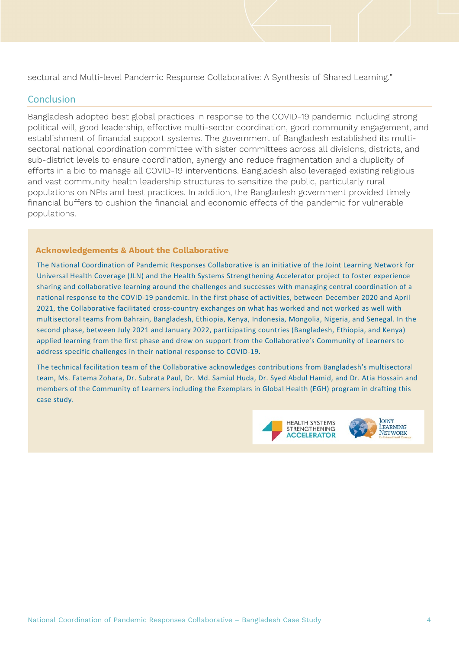sectoral and Multi-level Pandemic Response Collaborative: A Synthesis of Shared Learning."

### **Conclusion**

Bangladesh adopted best global practices in response to the COVID-19 pandemic including strong political will, good leadership, effective multi-sector coordination, good community engagement, and establishment of financial support systems. The government of Bangladesh established its multisectoral national coordination committee with sister committees across all divisions, districts, and sub-district levels to ensure coordination, synergy and reduce fragmentation and a duplicity of efforts in a bid to manage all COVID-19 interventions. Bangladesh also leveraged existing religious and vast community health leadership structures to sensitize the public, particularly rural populations on NPIs and best practices. In addition, the Bangladesh government provided timely financial buffers to cushion the financial and economic effects of the pandemic for vulnerable populations.

#### **Acknowledgements & About the Collaborative**

The National Coordination of Pandemic Responses Collaborative is an initiative of the Joint Learning Network for Universal Health Coverage (JLN) and the Health Systems Strengthening Accelerator project to foster experience sharing and collaborative learning around the challenges and successes with managing central coordination of a national response to the COVID-19 pandemic. In the first phase of activities, between December 2020 and April 2021, the Collaborative facilitated cross-country exchanges on what has worked and not worked as well with multisectoral teams from Bahrain, Bangladesh, Ethiopia, Kenya, Indonesia, Mongolia, Nigeria, and Senegal. In the second phase, between July 2021 and January 2022, participating countries (Bangladesh, Ethiopia, and Kenya) applied learning from the first phase and drew on support from the Collaborative's Community of Learners to address specific challenges in their national response to COVID-19.

The technical facilitation team of the Collaborative acknowledges contributions from Bangladesh's multisectoral team, Ms. Fatema Zohara, Dr. Subrata Paul, Dr. Md. Samiul Huda, Dr. Syed Abdul Hamid, and Dr. Atia Hossain and members of the Community of Learners including the Exemplars in Global Health (EGH) program in drafting this case study.